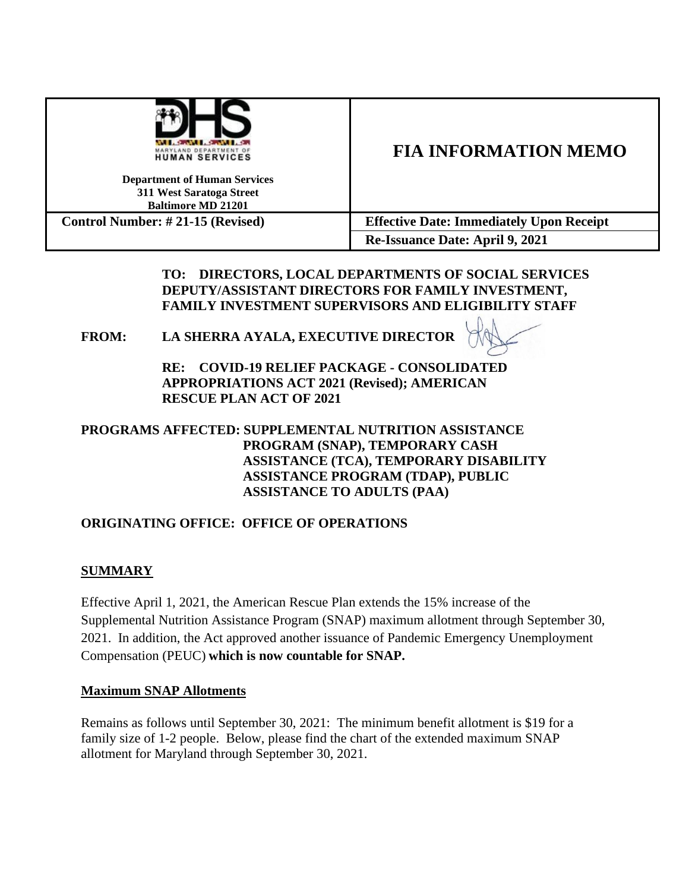| <b>WILL SERVE LOWER LA</b>               |  |
|------------------------------------------|--|
| MARYLAND DEPARTMENT OF<br>HUMAN SERVICES |  |

# **FIA INFORMATION MEMO**

**Department of Human Services 311 West Saratoga Street Baltimore MD 21201**

**Control Number: # 21-15 (Revised) Effective Date: Immediately Upon Receipt Re-Issuance Date: April 9, 2021**

> **TO: DIRECTORS, LOCAL DEPARTMENTS OF SOCIAL SERVICES DEPUTY/ASSISTANT DIRECTORS FOR FAMILY INVESTMENT, FAMILY INVESTMENT SUPERVISORS AND ELIGIBILITY STAFF**

# **FROM: LA SHERRA AYALA, EXECUTIVE DIRECTOR**

**RE: COVID-19 RELIEF PACKAGE - CONSOLIDATED APPROPRIATIONS ACT 2021 (Revised); AMERICAN RESCUE PLAN ACT OF 2021**

## **PROGRAMS AFFECTED: SUPPLEMENTAL NUTRITION ASSISTANCE PROGRAM (SNAP), TEMPORARY CASH ASSISTANCE (TCA), TEMPORARY DISABILITY ASSISTANCE PROGRAM (TDAP), PUBLIC ASSISTANCE TO ADULTS (PAA)**

# **ORIGINATING OFFICE: OFFICE OF OPERATIONS**

# **SUMMARY**

Effective April 1, 2021, the American Rescue Plan extends the 15% increase of the Supplemental Nutrition Assistance Program (SNAP) maximum allotment through September 30, 2021. In addition, the Act approved another issuance of Pandemic Emergency Unemployment Compensation (PEUC) **which is now countable for SNAP.**

### **Maximum SNAP Allotments**

Remains as follows until September 30, 2021: The minimum benefit allotment is \$19 for a family size of 1-2 people. Below, please find the chart of the extended maximum SNAP allotment for Maryland through September 30, 2021.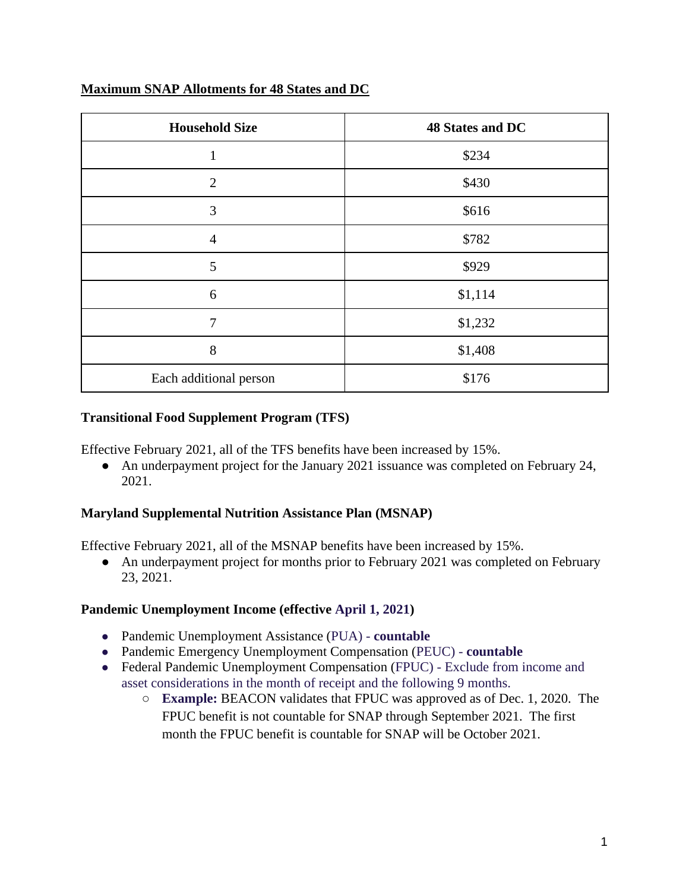# **Maximum SNAP Allotments for 48 States and DC**

| <b>Household Size</b>  | 48 States and DC |
|------------------------|------------------|
| 1                      | \$234            |
| $\overline{2}$         | \$430            |
| 3                      | \$616            |
| $\overline{4}$         | \$782            |
| 5                      | \$929            |
| 6                      | \$1,114          |
| 7                      | \$1,232          |
| 8                      | \$1,408          |
| Each additional person | \$176            |

## **Transitional Food Supplement Program (TFS)**

Effective February 2021, all of the TFS benefits have been increased by 15%.

• An underpayment project for the January 2021 issuance was completed on February 24, 2021.

# **Maryland Supplemental Nutrition Assistance Plan (MSNAP)**

Effective February 2021, all of the MSNAP benefits have been increased by 15%.

• An underpayment project for months prior to February 2021 was completed on February 23, 2021.

### **Pandemic Unemployment Income (effective April 1, 2021)**

- Pandemic Unemployment Assistance (PUA) **countable**
- Pandemic Emergency Unemployment Compensation (PEUC) **countable**
- Federal Pandemic Unemployment Compensation (FPUC) Exclude from income and asset considerations in the month of receipt and the following 9 months.
	- **Example:** BEACON validates that FPUC was approved as of Dec. 1, 2020. The FPUC benefit is not countable for SNAP through September 2021. The first month the FPUC benefit is countable for SNAP will be October 2021.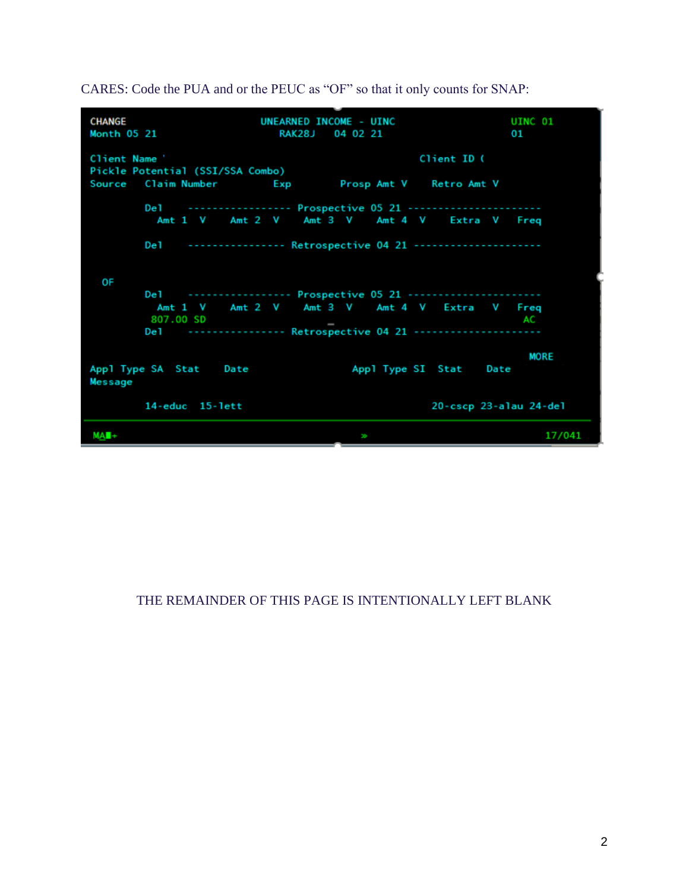

CARES: Code the PUA and or the PEUC as "OF" so that it only counts for SNAP:

### THE REMAINDER OF THIS PAGE IS INTENTIONALLY LEFT BLANK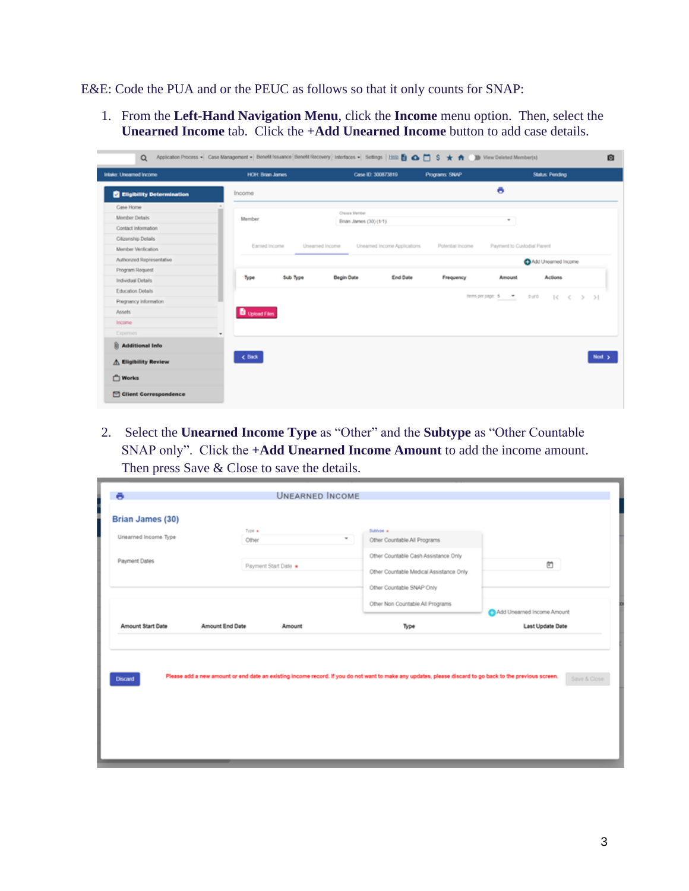E&E: Code the PUA and or the PEUC as follows so that it only counts for SNAP:

1. From the **Left-Hand Navigation Menu**, click the **Income** menu option. Then, select the **Unearned Income** tab. Click the **+Add Unearned Income** button to add case details.

| Intake: Uneamed Income           | <b>HOH: Brian James</b> | Case ID: 300873819                              | Programs: SNAP   | <b>Status: Pending</b>                 |        |
|----------------------------------|-------------------------|-------------------------------------------------|------------------|----------------------------------------|--------|
| <b>Eligibility Determination</b> | Income                  |                                                 |                  | ō                                      |        |
| Case Home                        | $\sim$                  |                                                 |                  |                                        |        |
| Momber Details                   | Member                  | Cheqoe Member<br>Brian James (30) (1/1)         |                  | ٠                                      |        |
| Contact Information              |                         |                                                 |                  |                                        |        |
| Citizenship Details              |                         |                                                 |                  |                                        |        |
| Member Verification              | Earned Income           | Unearned Income Applications<br>Unearned Income | Potential Income | Payment to Custodial Parent            |        |
| Authorized Representative        |                         |                                                 |                  | Add Uneamed Income                     |        |
| Program Request                  |                         |                                                 |                  |                                        |        |
| Individual Details               | Type<br>Sub Type        | <b>Begin Date</b><br><b>End Date</b>            | Frequency        | Actions<br>Amount                      |        |
| Education Details                |                         |                                                 |                  |                                        |        |
| Pregnancy Information            |                         |                                                 |                  | nems per page: 5 = 0 df 0 = (< < > > > |        |
| Assets                           | <b>D</b> Upload Files   |                                                 |                  |                                        |        |
| Income                           |                         |                                                 |                  |                                        |        |
| Expenses                         |                         |                                                 |                  |                                        |        |
| <b>Additional Info</b>           |                         |                                                 |                  |                                        |        |
| A Eligibility Review             | $&$ Back                |                                                 |                  |                                        | Next > |
| <b>T</b> Works                   |                         |                                                 |                  |                                        |        |
|                                  |                         |                                                 |                  |                                        |        |

2. Select the **Unearned Income Type** as "Other" and the **Subtype** as "Other Countable SNAP only". Click the **+Add Unearned Income Amount** to add the income amount. Then press Save & Close to save the details.

| Brian James (30)<br>$T_1 \oplus 0$ $\bullet$<br>Subfype *<br>Unearned Income Type<br>$\mathbf{w}$<br>Other Countable All Programs<br>Other<br>Other Countable Cash Assistance Only<br>Payment Dates<br>茴<br>Payment Start Date<br>Other Countable Medical Assistance Only<br>Other Countable SNAP Only<br>Other Non Countable All Programs<br>Add Unearned Income Amount<br>Amount Start Date<br>Amount End Date<br>Last Update Date<br>Type<br><b>Amount</b> | Please add a new amount or end date an existing income record. If you do not want to make any updates, please discard to go back to the previous screen.<br><b>Discard</b> | Save & Close | ō | <b>UNEARNED INCOME</b> |  |
|---------------------------------------------------------------------------------------------------------------------------------------------------------------------------------------------------------------------------------------------------------------------------------------------------------------------------------------------------------------------------------------------------------------------------------------------------------------|----------------------------------------------------------------------------------------------------------------------------------------------------------------------------|--------------|---|------------------------|--|
|                                                                                                                                                                                                                                                                                                                                                                                                                                                               |                                                                                                                                                                            |              |   |                        |  |
|                                                                                                                                                                                                                                                                                                                                                                                                                                                               |                                                                                                                                                                            |              |   |                        |  |
|                                                                                                                                                                                                                                                                                                                                                                                                                                                               |                                                                                                                                                                            |              |   |                        |  |
|                                                                                                                                                                                                                                                                                                                                                                                                                                                               |                                                                                                                                                                            |              |   |                        |  |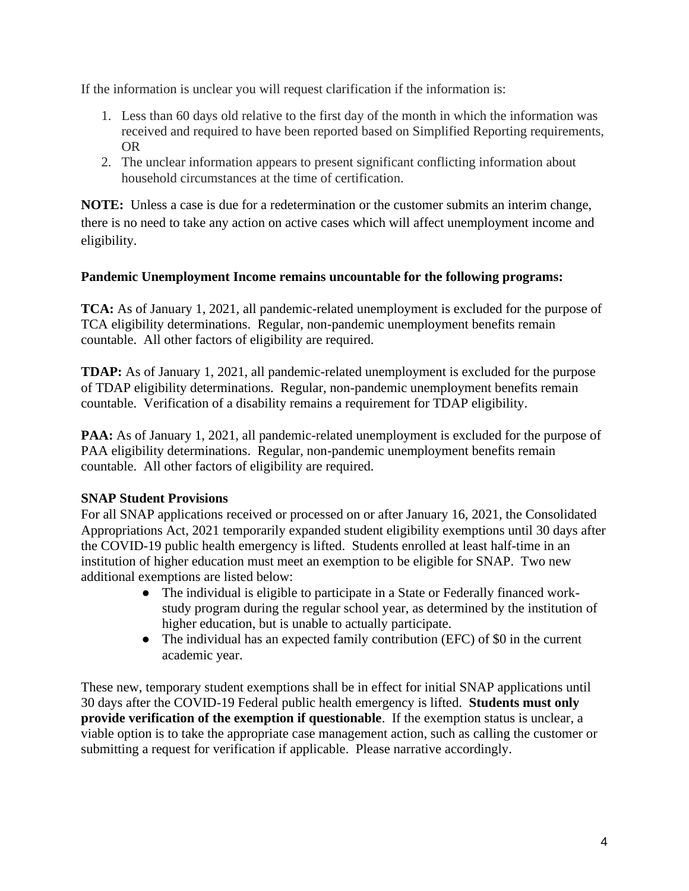If the information is unclear you will request clarification if the information is:

- 1. Less than 60 days old relative to the first day of the month in which the information was received and required to have been reported based on Simplified Reporting requirements, OR
- 2. The unclear information appears to present significant conflicting information about household circumstances at the time of certification.

**NOTE:** Unless a case is due for a redetermination or the customer submits an interim change, there is no need to take any action on active cases which will affect unemployment income and eligibility.

## **Pandemic Unemployment Income remains uncountable for the following programs:**

**TCA:** As of January 1, 2021, all pandemic-related unemployment is excluded for the purpose of TCA eligibility determinations. Regular, non-pandemic unemployment benefits remain countable. All other factors of eligibility are required.

**TDAP:** As of January 1, 2021, all pandemic-related unemployment is excluded for the purpose of TDAP eligibility determinations. Regular, non-pandemic unemployment benefits remain countable. Verification of a disability remains a requirement for TDAP eligibility.

**PAA:** As of January 1, 2021, all pandemic-related unemployment is excluded for the purpose of PAA eligibility determinations. Regular, non-pandemic unemployment benefits remain countable. All other factors of eligibility are required.

# **SNAP Student Provisions**

For all SNAP applications received or processed on or after January 16, 2021, the Consolidated Appropriations Act, 2021 temporarily expanded student eligibility exemptions until 30 days after the COVID-19 public health emergency is lifted. Students enrolled at least half-time in an institution of higher education must meet an exemption to be eligible for SNAP. Two new additional exemptions are listed below:

- The individual is eligible to participate in a State or Federally financed workstudy program during the regular school year, as determined by the institution of higher education, but is unable to actually participate.
- The individual has an expected family contribution (EFC) of \$0 in the current academic year.

These new, temporary student exemptions shall be in effect for initial SNAP applications until 30 days after the COVID-19 Federal public health emergency is lifted. **Students must only provide verification of the exemption if questionable**. If the exemption status is unclear, a viable option is to take the appropriate case management action, such as calling the customer or submitting a request for verification if applicable. Please narrative accordingly.